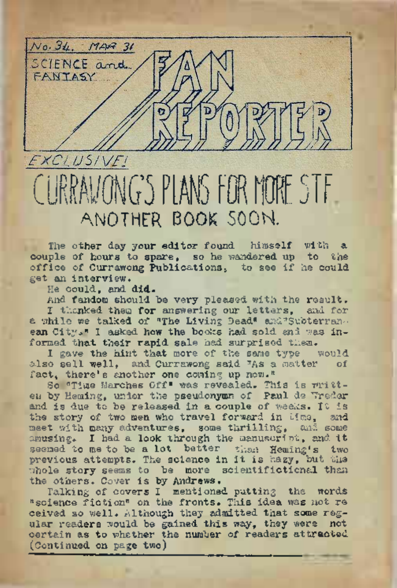

# CURRAVONG'S PLANS FOR MORE STE ANOTHER BOOK SOON.

The other day your editor found himself with a couple of hours to spare, so he wandered up to the office of Currawong Publications. to see if he could get an interview..

lie could, and did.

And fandom should be very pleased with the result. I thanked them for answering our letters, and for a while we talked of "The Living Dead" and Subterranean City." I asked how the books had sold and was informed that their rapid sale had surprised them.

I gave the hint that more of the same type would<br>o sell well. and Currewong said "As a matter of also sell well, and Currawong said  $\frac{1}{4}$ s a matter fact, there's another one coming up now."

So "Time Marches Off" was revealed. This is written by Heming, unior the pseudonymn of Paul de Treder and is due to be released in a couple of weeks. It is the story of two men who travel forward in Mas. and meet with many adventures, some thrilling, and some amusing. I had <sup>a</sup> look through the manuscript, and it seemed to me to be a lot better than Heming's two previous attempts. The science in it is hazy, but the whole story seems to be more scientifictional than the others. Cover is by Andrews.

Talking of covers I mentioned putting the words "science fiction" on the fronts. This idea was not re ceived so well. Although they admitted that some regular readers Would be gained this way, they were not certain as to whether the number of readers attracted (Continued on page two)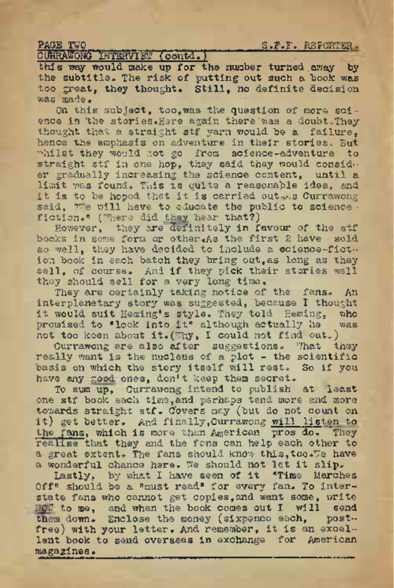PACE TWO INTERVIET (contd.) 3.F.F. RBPORTER.<br>CUHRAWOWO INTERVIET (contd.)

this way would make up for the number turned away by the subtitle. The risk of putting out such a book was too great, they thought. Still, no definite decision  $WAR = MAP$ 

On this subject, too, was the question of more science in the stories. Here again there was a doubt. They thought that a straight stf yarn would be a failure, hence the emphasis on adventure in their stories. But whilst they would not go from science-adventure to straight stf in one hop, they said they would consider gradually increasing the science content, until a limit was found. This is quite a reasonable idea, and it is to be hoped that it is carried out -. a Currawong said, we will have to educate the public to science fiction." ("here did they hear that?)

However, they are definitely in favour of the stf books in some form or other.As the first 2 have sold so well, they have decided to include a science-fiction book in each batch they bring out,as long as they sell, of course. And if they pick their stories well they should sell for a very long time.

They are certainly taking notice of the fans. An interplanetary story was suggested, because I thought it would suit Heming's style. They told Heming, who brounded to "look into it" although actually he was promised to "look into it" although actually he not too keen about it. (Thy, I could not find out.)

Currawong are also after suggestions. That they really want is the nucleus of a plot - the scientific basis on which the story itself will rest. So if you have any good ones, don't keep them secret.

To sum up, Currawong intend to publish at least one stf book each time,and perhaps tend more and more towards straight stf. Covers may (but do not count on it) get better. And finally,Currawong will listen to the fans, which is more than American pros do. They realise that they and the fans can help each other to a great extent. The fans should know this, too. Te have a wonderful chance here. We should not let it slip.

Lastly, by what I have seen of it "Time Marches Off" should be a "must read" for every fan. To interstate fans who cannot get copies, and want some, write NOW to me, and when the book comes out I will send<br>them down. Enclose the money (sixpence each, postthem down. Enclose the money (sixpence sach, free) with your letter. And remember, it is an excellent book to send overseas in exchange for American magazines•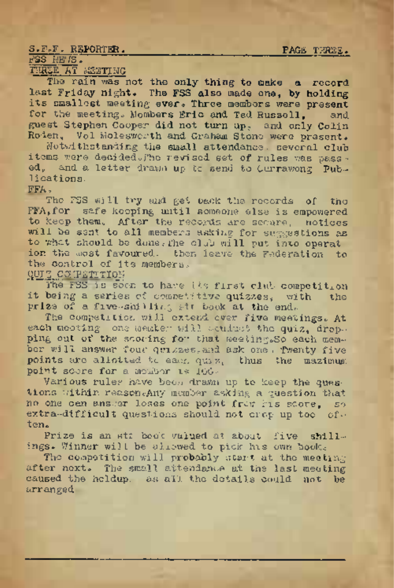### S.F.F. REPORTER. \_\_\_\_\_\_\_\_\_\_\_\_\_\_\_\_\_\_\_\_\_\_\_\_\_\_ PAGE THREE.

# FSS NEUS.

# THREE AT MEETING

The rain was not the only thing to make a record last Friday night. The FSS also made one, by holding its smallest meeting ever. Three members were present for the meeting. Mombers Eric and Ted Russell, and guest Stephen Cooper did not turn up, and only Colin Roden, Vol Molesworth and Graham Stone were present.

Notwithstanding the small attendance. several club items were decided. The revised set of rules was passed, and a letter drawn up to send' to Currawong Publications.

# FFA.

The FSS will try and get back the records of the FFA,for safe keeping until someone else is empowered to keep them. After the records are secure, notices will be sent to all members asking for suggestions as to what should be done, the club will put into operat ion the most favoured. then leave the Federation to the control of its members.

**GUIZ COMPETITION** 

The FSS is soon to have its first club competition<br>being a series of competitive quizzes, with the it being a series of competitive quizzes, with prize of a five-shilling str book at the end.

The competition will extend ever five meetings. At each meeting; one member will conduct the quiz, dropping out of the scoring for that meeting.So each member will answer four quizzes, and ask one. Pwenty five points are allotted to each quiz, thus the mazimum point score for a member is 100.-

Various rules have been drawn up to keep the questions within reason Any member asking a question that no one can answer loses one point from his score, so extra-difficult questions should not crop up too often.

Prize is an st: book valued at about five shillings. Winner will be allowed to pick his own book.

The competition will probably start at the meeting after next. The small attendance at the last meeting caused the holdup. as all the details could not be arranged